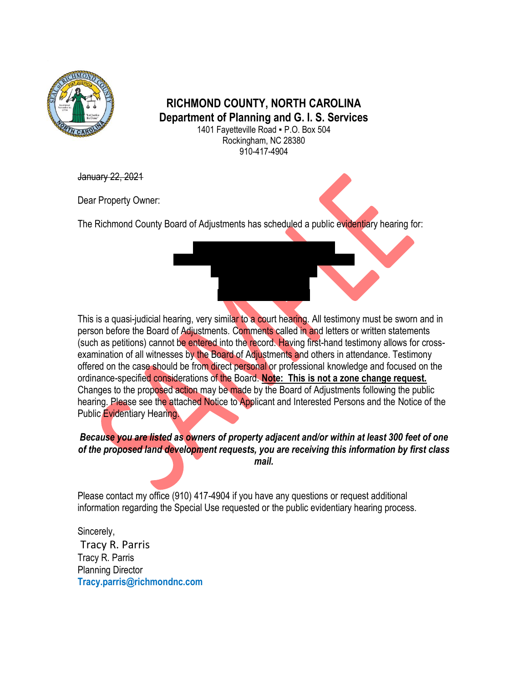

## **RICHMOND COUNTY, NORTH CAROLINA Department of Planning and G. I. S. Services**

1401 Fayetteville Road ▪ P.O. Box 504 Rockingham, NC 28380 910-417-4904

January 22, 2021

Dear Property Owner:

The Richmond County Board of Adjustments has scheduled a public evidentiary hearing for:

This is a quasi-judicial hearing, very similar to a court hearing. All testimony must be sworn and in person before the Board of Adjustments. Comments called in and letters or written statements (such as petitions) cannot be entered into the record. Having first-hand testimony allows for crossexamination of all witnesses by the Board of Adjustments and others in attendance. Testimony offered on the case should be from direct personal or professional knowledge and focused on the ordinance-specified considerations of the Board. **Note: This is not a zone change request.** Changes to the proposed action may be made by the Board of Adjustments following the public hearing. Please see the attached Notice to Applicant and Interested Persons and the Notice of the Public Evidentiary Hearing.

## *Because you are listed as owners of property adjacent and/or within at least 300 feet of one of the proposed land development requests, you are receiving this information by first class mail.*

Please contact my office (910) 417-4904 if you have any questions or request additional information regarding the Special Use requested or the public evidentiary hearing process.

Sincerely, Tracy R. Parris Tracy R. Parris Planning Director **Tracy.parris@richmondnc.com**